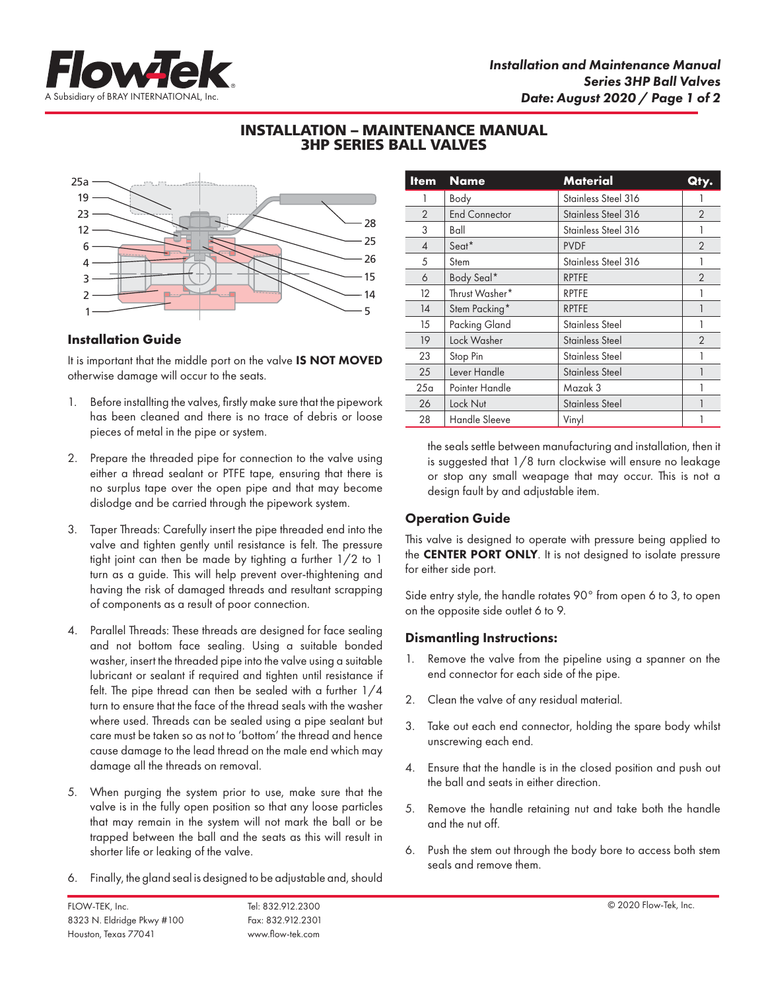

# INSTALLATION – MAINTENANCE MANUAL 3HP SERIES BALL VALVES



### **Installation Guide**

It is important that the middle port on the valve IS NOT MOVED otherwise damage will occur to the seats.

- 1. Before installting the valves, firstly make sure that the pipework has been cleaned and there is no trace of debris or loose pieces of metal in the pipe or system.
- 2. Prepare the threaded pipe for connection to the valve using either a thread sealant or PTFE tape, ensuring that there is no surplus tape over the open pipe and that may become dislodge and be carried through the pipework system.
- 3. Taper Threads: Carefully insert the pipe threaded end into the valve and tighten gently until resistance is felt. The pressure tight joint can then be made by tighting a further 1/2 to 1 turn as a guide. This will help prevent over-thightening and having the risk of damaged threads and resultant scrapping of components as a result of poor connection.
- 4. Parallel Threads: These threads are designed for face sealing and not bottom face sealing. Using a suitable bonded washer, insert the threaded pipe into the valve using a suitable lubricant or sealant if required and tighten until resistance if felt. The pipe thread can then be sealed with a further 1/4 turn to ensure that the face of the thread seals with the washer where used. Threads can be sealed using a pipe sealant but care must be taken so as not to 'bottom' the thread and hence cause damage to the lead thread on the male end which may damage all the threads on removal.
- 5. When purging the system prior to use, make sure that the valve is in the fully open position so that any loose particles that may remain in the system will not mark the ball or be trapped between the ball and the seats as this will result in shorter life or leaking of the valve.
- 6. Finally, the gland seal is designed to be adjustable and, should

| <b>Item</b>    | <b>Name</b>          | <b>Material</b>        | Qty.           |
|----------------|----------------------|------------------------|----------------|
| 1              | Body                 | Stainless Steel 316    |                |
| 2              | <b>End Connector</b> | Stainless Steel 316    | $\overline{2}$ |
| 3              | Ball                 | Stainless Steel 316    |                |
| $\overline{4}$ | Seat <sup>*</sup>    | <b>PVDF</b>            | $\overline{2}$ |
| 5              | Stem                 | Stainless Steel 316    |                |
| 6              | Body Seal*           | <b>RPTFE</b>           | $\mathfrak{D}$ |
| 12             | Thrust Washer*       | <b>RPTFE</b>           |                |
| 14             | Stem Packing*        | <b>RPTFE</b>           |                |
| 15             | Packing Gland        | <b>Stainless Steel</b> |                |
| 19             | Lock Washer          | Stainless Steel        | $\mathfrak{D}$ |
| 23             | Stop Pin             | <b>Stainless Steel</b> |                |
| 25             | Lever Handle         | <b>Stainless Steel</b> |                |
| 25a            | Pointer Handle       | Mazak 3                |                |
| 26             | Lock Nut             | Stainless Steel        |                |
| 28             | Handle Sleeve        | Vinyl                  |                |

the seals settle between manufacturing and installation, then it is suggested that 1/8 turn clockwise will ensure no leakage or stop any small weapage that may occur. This is not a design fault by and adjustable item.

## Operation Guide

This valve is designed to operate with pressure being applied to the **CENTER PORT ONLY**. It is not designed to isolate pressure for either side port.

Side entry style, the handle rotates 90° from open 6 to 3, to open on the opposite side outlet 6 to 9.

#### Dismantling Instructions:

- 1. Remove the valve from the pipeline using a spanner on the end connector for each side of the pipe.
- 2. Clean the valve of any residual material.
- 3. Take out each end connector, holding the spare body whilst unscrewing each end.
- 4. Ensure that the handle is in the closed position and push out the ball and seats in either direction.
- 5. Remove the handle retaining nut and take both the handle and the nut off.
- 6. Push the stem out through the body bore to access both stem seals and remove them.